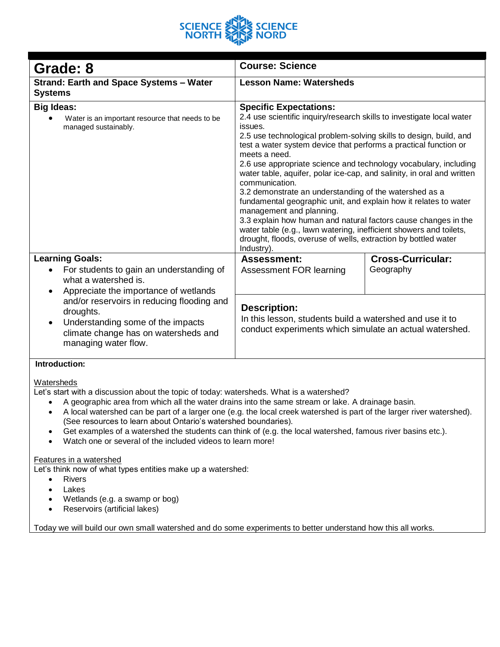

| Grade: 8                                                                                                                                                                                                                                                                                                                                                                                                                                      | <b>Course: Science</b>                                                                                                                                                                                                                                                                                                                                                                                                                                                                                                                                                                                                                                                                                        |                                       |
|-----------------------------------------------------------------------------------------------------------------------------------------------------------------------------------------------------------------------------------------------------------------------------------------------------------------------------------------------------------------------------------------------------------------------------------------------|---------------------------------------------------------------------------------------------------------------------------------------------------------------------------------------------------------------------------------------------------------------------------------------------------------------------------------------------------------------------------------------------------------------------------------------------------------------------------------------------------------------------------------------------------------------------------------------------------------------------------------------------------------------------------------------------------------------|---------------------------------------|
| <b>Strand: Earth and Space Systems - Water</b>                                                                                                                                                                                                                                                                                                                                                                                                | <b>Lesson Name: Watersheds</b>                                                                                                                                                                                                                                                                                                                                                                                                                                                                                                                                                                                                                                                                                |                                       |
| <b>Systems</b>                                                                                                                                                                                                                                                                                                                                                                                                                                |                                                                                                                                                                                                                                                                                                                                                                                                                                                                                                                                                                                                                                                                                                               |                                       |
| <b>Big Ideas:</b>                                                                                                                                                                                                                                                                                                                                                                                                                             | <b>Specific Expectations:</b>                                                                                                                                                                                                                                                                                                                                                                                                                                                                                                                                                                                                                                                                                 |                                       |
| Water is an important resource that needs to be<br>managed sustainably.                                                                                                                                                                                                                                                                                                                                                                       | 2.4 use scientific inquiry/research skills to investigate local water<br>issues.<br>2.5 use technological problem-solving skills to design, build, and<br>test a water system device that performs a practical function or<br>meets a need.<br>2.6 use appropriate science and technology vocabulary, including<br>water table, aquifer, polar ice-cap, and salinity, in oral and written<br>communication.<br>3.2 demonstrate an understanding of the watershed as a<br>fundamental geographic unit, and explain how it relates to water<br>management and planning.<br>3.3 explain how human and natural factors cause changes in the<br>water table (e.g., lawn watering, inefficient showers and toilets, |                                       |
|                                                                                                                                                                                                                                                                                                                                                                                                                                               | drought, floods, overuse of wells, extraction by bottled water<br>Industry).                                                                                                                                                                                                                                                                                                                                                                                                                                                                                                                                                                                                                                  |                                       |
| <b>Learning Goals:</b><br>For students to gain an understanding of<br>what a watershed is.<br>Appreciate the importance of wetlands<br>$\bullet$<br>and/or reservoirs in reducing flooding and<br>droughts.<br>Understanding some of the impacts<br>٠<br>climate change has on watersheds and<br>managing water flow.                                                                                                                         | <b>Assessment:</b><br>Assessment FOR learning                                                                                                                                                                                                                                                                                                                                                                                                                                                                                                                                                                                                                                                                 | <b>Cross-Curricular:</b><br>Geography |
|                                                                                                                                                                                                                                                                                                                                                                                                                                               | <b>Description:</b><br>In this lesson, students build a watershed and use it to<br>conduct experiments which simulate an actual watershed.                                                                                                                                                                                                                                                                                                                                                                                                                                                                                                                                                                    |                                       |
| Introduction:                                                                                                                                                                                                                                                                                                                                                                                                                                 |                                                                                                                                                                                                                                                                                                                                                                                                                                                                                                                                                                                                                                                                                                               |                                       |
| Watersheds<br>Let's start with a discussion about the topic of today: watersheds. What is a watershed?<br>A geographic area from which all the water drains into the same stream or lake. A drainage basin.<br>A to develop the second red to the theorem of the second red red and red in the second of the second red and red in the second contract of the second contract of the second contract of the second contract of the second con |                                                                                                                                                                                                                                                                                                                                                                                                                                                                                                                                                                                                                                                                                                               |                                       |

- A local watershed can be part of a larger one (e.g. the local creek watershed is part of the larger river watershed). (See resources to learn about Ontario's watershed boundaries).
- Get examples of a watershed the students can think of (e.g. the local watershed, famous river basins etc.).
- Watch one or several of the included videos to learn more!

#### Features in a watershed

Let's think now of what types entities make up a watershed:

- Rivers
- **Lakes**
- Wetlands (e.g. a swamp or bog)
- Reservoirs (artificial lakes)

Today we will build our own small watershed and do some experiments to better understand how this all works.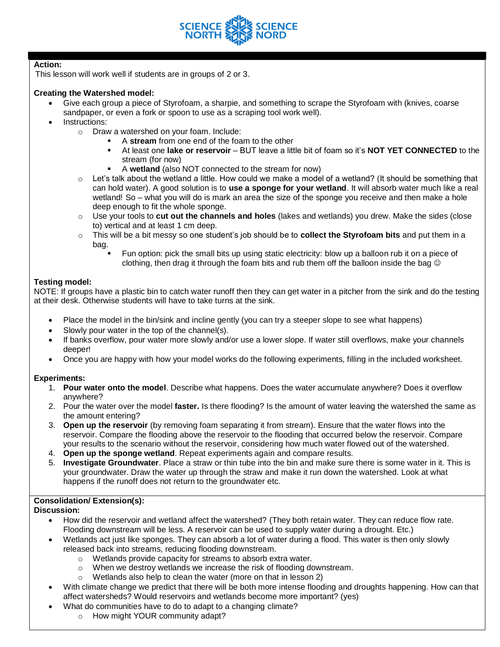

#### **Action:**

This lesson will work well if students are in groups of 2 or 3.

#### **Creating the Watershed model:**

- Give each group a piece of Styrofoam, a sharpie, and something to scrape the Styrofoam with (knives, coarse sandpaper, or even a fork or spoon to use as a scraping tool work well).
- Instructions:
	- o Draw a watershed on your foam. Include:
		- A **stream** from one end of the foam to the other
		- At least one **lake or reservoir** BUT leave a little bit of foam so it's **NOT YET CONNECTED** to the stream (for now)
		- A **wetland** (also NOT connected to the stream for now)
	- $\circ$  Let's talk about the wetland a little. How could we make a model of a wetland? (It should be something that can hold water). A good solution is to **use a sponge for your wetland**. It will absorb water much like a real wetland! So – what you will do is mark an area the size of the sponge you receive and then make a hole deep enough to fit the whole sponge.
	- o Use your tools to **cut out the channels and holes** (lakes and wetlands) you drew. Make the sides (close to) vertical and at least 1 cm deep.
	- o This will be a bit messy so one student's job should be to **collect the Styrofoam bits** and put them in a bag.
		- Fun option: pick the small bits up using static electricity: blow up a balloon rub it on a piece of clothing, then drag it through the foam bits and rub them off the balloon inside the bag  $\circledcirc$

#### **Testing model:**

NOTE: If groups have a plastic bin to catch water runoff then they can get water in a pitcher from the sink and do the testing at their desk. Otherwise students will have to take turns at the sink.

- Place the model in the bin/sink and incline gently (you can try a steeper slope to see what happens)
- Slowly pour water in the top of the channel(s).
- If banks overflow, pour water more slowly and/or use a lower slope. If water still overflows, make your channels deeper!
- Once you are happy with how your model works do the following experiments, filling in the included worksheet.

#### **Experiments:**

- 1. **Pour water onto the model**. Describe what happens. Does the water accumulate anywhere? Does it overflow anywhere?
- 2. Pour the water over the model **faster.** Is there flooding? Is the amount of water leaving the watershed the same as the amount entering?
- 3. **Open up the reservoir** (by removing foam separating it from stream). Ensure that the water flows into the reservoir. Compare the flooding above the reservoir to the flooding that occurred below the reservoir. Compare your results to the scenario without the reservoir, considering how much water flowed out of the watershed.
- 4. **Open up the sponge wetland**. Repeat experiments again and compare results.
- 5. **Investigate Groundwater**. Place a straw or thin tube into the bin and make sure there is some water in it. This is your groundwater. Draw the water up through the straw and make it run down the watershed. Look at what happens if the runoff does not return to the groundwater etc.

### **Consolidation/ Extension(s):**

**Discussion:**

- How did the reservoir and wetland affect the watershed? (They both retain water. They can reduce flow rate. Flooding downstream will be less. A reservoir can be used to supply water during a drought. Etc.)
- Wetlands act just like sponges. They can absorb a lot of water during a flood. This water is then only slowly released back into streams, reducing flooding downstream.
	- o Wetlands provide capacity for streams to absorb extra water.
	- o When we destroy wetlands we increase the risk of flooding downstream.
	- o Wetlands also help to clean the water (more on that in lesson 2)
- With climate change we predict that there will be both more intense flooding and droughts happening. How can that affect watersheds? Would reservoirs and wetlands become more important? (yes)
	- What do communities have to do to adapt to a changing climate?
		- o How might YOUR community adapt?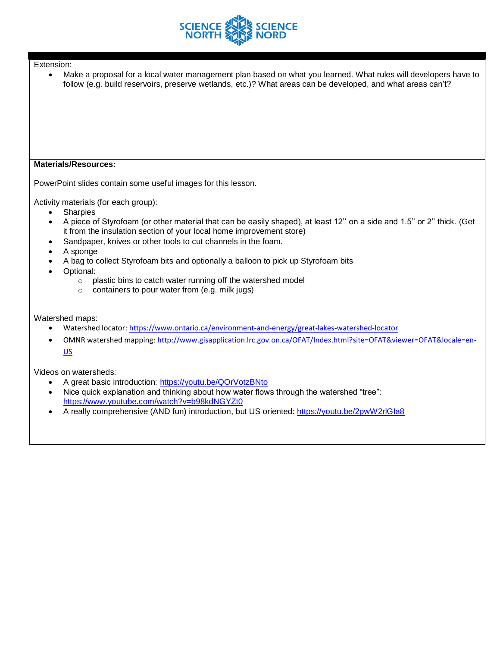

• Make a proposal for a local water management plan based on what you learned. What rules will developers have to follow (e.g. build reservoirs, preserve wetlands, etc.)? What areas can be developed, and what areas can't?

#### **Materials/Resources:**

PowerPoint slides contain some useful images for this lesson.

Activity materials (for each group):

- Sharpies
- A piece of Styrofoam (or other material that can be easily shaped), at least 12'' on a side and 1.5'' or 2'' thick. (Get it from the insulation section of your local home improvement store)
- Sandpaper, knives or other tools to cut channels in the foam.
- A sponge
- A bag to collect Styrofoam bits and optionally a balloon to pick up Styrofoam bits
- Optional:
	- o plastic bins to catch water running off the watershed model
	- o containers to pour water from (e.g. milk jugs)

Watershed maps:

- Watershed locator:<https://www.ontario.ca/environment-and-energy/great-lakes-watershed-locator>
- OMNR watershed mapping[: http://www.gisapplication.lrc.gov.on.ca/OFAT/Index.html?site=OFAT&viewer=OFAT&locale=en-](http://www.gisapplication.lrc.gov.on.ca/OFAT/Index.html?site=OFAT&viewer=OFAT&locale=en-US)[US](http://www.gisapplication.lrc.gov.on.ca/OFAT/Index.html?site=OFAT&viewer=OFAT&locale=en-US)

Videos on watersheds:

- A great basic introduction:<https://youtu.be/QOrVotzBNto>
- Nice quick explanation and thinking about how water flows through the watershed "tree": <https://www.youtube.com/watch?v=b98kdNGYZt0>
- A really comprehensive (AND fun) introduction, but US oriented:<https://youtu.be/2pwW2rlGIa8>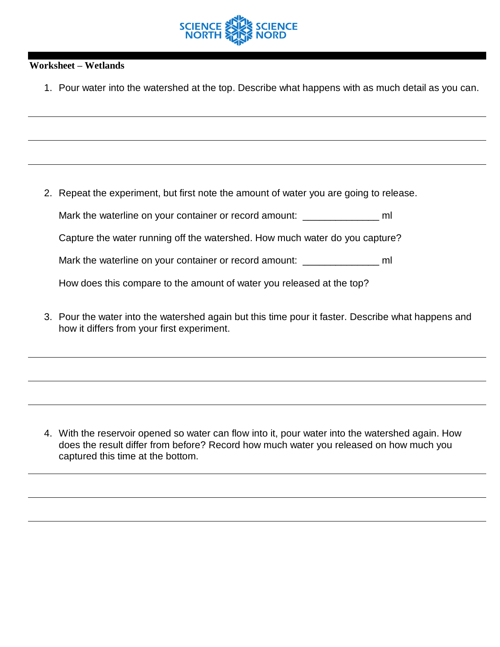

## **Worksheet – Wetlands**

1. Pour water into the watershed at the top. Describe what happens with as much detail as you can.

2. Repeat the experiment, but first note the amount of water you are going to release.

Mark the waterline on your container or record amount: \_\_\_\_\_\_\_\_\_\_\_\_\_\_\_\_\_\_ ml

Capture the water running off the watershed. How much water do you capture?

Mark the waterline on your container or record amount:  $\blacksquare$ 

How does this compare to the amount of water you released at the top?

3. Pour the water into the watershed again but this time pour it faster. Describe what happens and how it differs from your first experiment.

4. With the reservoir opened so water can flow into it, pour water into the watershed again. How does the result differ from before? Record how much water you released on how much you captured this time at the bottom.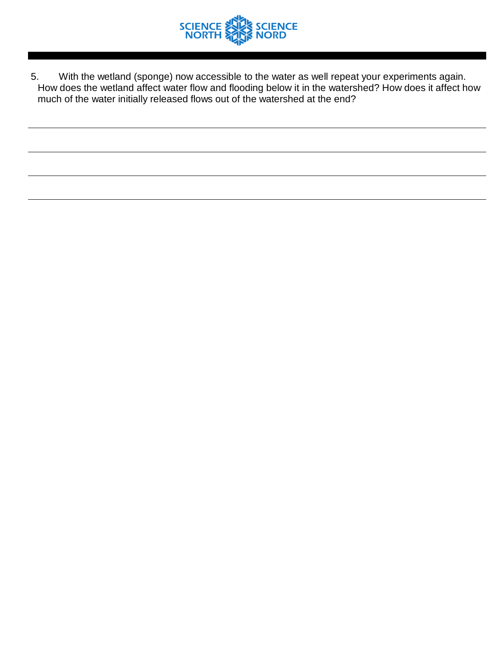

5. With the wetland (sponge) now accessible to the water as well repeat your experiments again. How does the wetland affect water flow and flooding below it in the watershed? How does it affect how much of the water initially released flows out of the watershed at the end?